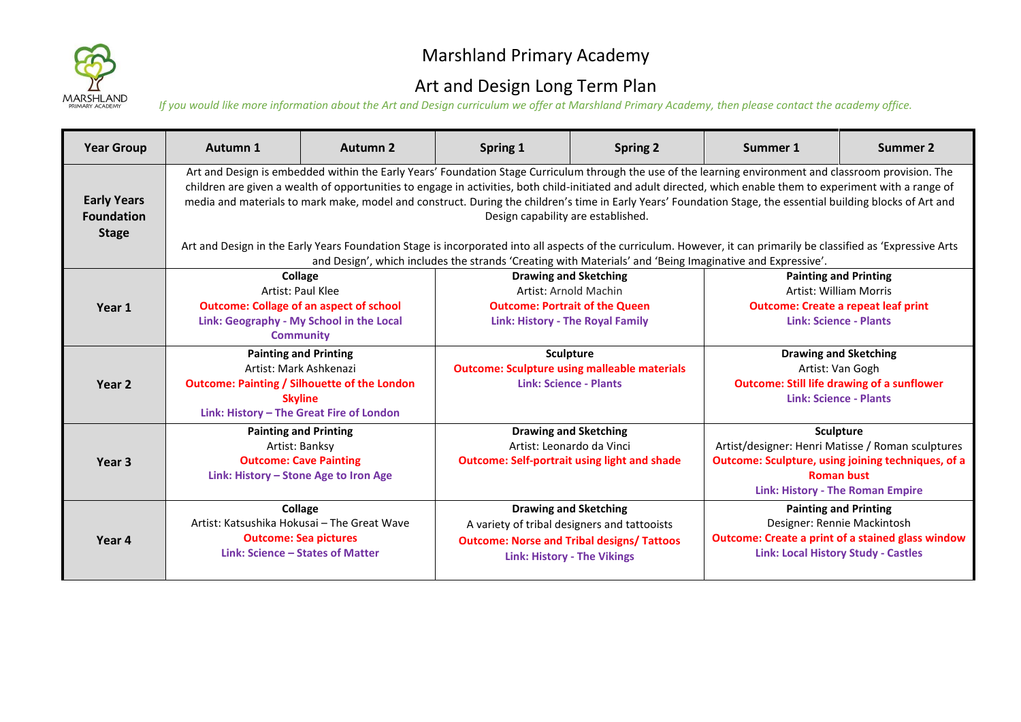

## Marshland Primary Academy

## Art and Design Long Term Plan

*If you would like more information about the Art and Design curriculum we offer at Marshland Primary Academy, then please contact the academy office.*

| <b>Year Group</b>                                       | Autumn 1                                                                                                                                                                                                                                                                                                                                                                                                                                                                                                                                                                                                                                                                                                                                                                                                           | <b>Autumn 2</b>                                                                                                                                                                                                                                                                         | Spring 1                                                                                                                                                                | <b>Spring 2</b>                                                                                                                        | Summer 1                                                                                                                                                                             | Summer 2 |  |
|---------------------------------------------------------|--------------------------------------------------------------------------------------------------------------------------------------------------------------------------------------------------------------------------------------------------------------------------------------------------------------------------------------------------------------------------------------------------------------------------------------------------------------------------------------------------------------------------------------------------------------------------------------------------------------------------------------------------------------------------------------------------------------------------------------------------------------------------------------------------------------------|-----------------------------------------------------------------------------------------------------------------------------------------------------------------------------------------------------------------------------------------------------------------------------------------|-------------------------------------------------------------------------------------------------------------------------------------------------------------------------|----------------------------------------------------------------------------------------------------------------------------------------|--------------------------------------------------------------------------------------------------------------------------------------------------------------------------------------|----------|--|
| <b>Early Years</b><br><b>Foundation</b><br><b>Stage</b> | Art and Design is embedded within the Early Years' Foundation Stage Curriculum through the use of the learning environment and classroom provision. The<br>children are given a wealth of opportunities to engage in activities, both child-initiated and adult directed, which enable them to experiment with a range of<br>media and materials to mark make, model and construct. During the children's time in Early Years' Foundation Stage, the essential building blocks of Art and<br>Design capability are established.<br>Art and Design in the Early Years Foundation Stage is incorporated into all aspects of the curriculum. However, it can primarily be classified as 'Expressive Arts<br>and Design', which includes the strands 'Creating with Materials' and 'Being Imaginative and Expressive'. |                                                                                                                                                                                                                                                                                         |                                                                                                                                                                         |                                                                                                                                        |                                                                                                                                                                                      |          |  |
| Year 1                                                  | Collage<br>Artist: Paul Klee<br><b>Outcome: Collage of an aspect of school</b><br>Link: Geography - My School in the Local<br><b>Community</b>                                                                                                                                                                                                                                                                                                                                                                                                                                                                                                                                                                                                                                                                     |                                                                                                                                                                                                                                                                                         | <b>Drawing and Sketching</b><br>Artist: Arnold Machin<br><b>Outcome: Portrait of the Queen</b><br><b>Link: History - The Royal Family</b>                               |                                                                                                                                        | <b>Painting and Printing</b><br><b>Artist: William Morris</b><br><b>Outcome: Create a repeat leaf print</b><br><b>Link: Science - Plants</b>                                         |          |  |
| Year 2                                                  |                                                                                                                                                                                                                                                                                                                                                                                                                                                                                                                                                                                                                                                                                                                                                                                                                    | <b>Painting and Printing</b><br><b>Sculpture</b><br>Artist: Mark Ashkenazi<br><b>Outcome: Sculpture using malleable materials</b><br><b>Outcome: Painting / Silhouette of the London</b><br><b>Link: Science - Plants</b><br><b>Skyline</b><br>Link: History - The Great Fire of London |                                                                                                                                                                         | <b>Drawing and Sketching</b><br>Artist: Van Gogh<br><b>Outcome: Still life drawing of a sunflower</b><br><b>Link: Science - Plants</b> |                                                                                                                                                                                      |          |  |
| Year 3                                                  | <b>Painting and Printing</b><br>Artist: Banksy<br><b>Outcome: Cave Painting</b><br>Link: History - Stone Age to Iron Age                                                                                                                                                                                                                                                                                                                                                                                                                                                                                                                                                                                                                                                                                           |                                                                                                                                                                                                                                                                                         | <b>Drawing and Sketching</b><br>Artist: Leonardo da Vinci<br><b>Outcome: Self-portrait using light and shade</b>                                                        |                                                                                                                                        | Sculpture<br>Artist/designer: Henri Matisse / Roman sculptures<br>Outcome: Sculpture, using joining techniques, of a<br><b>Roman bust</b><br><b>Link: History - The Roman Empire</b> |          |  |
| Year 4                                                  | Collage<br>Artist: Katsushika Hokusai - The Great Wave<br><b>Outcome: Sea pictures</b><br>Link: Science - States of Matter                                                                                                                                                                                                                                                                                                                                                                                                                                                                                                                                                                                                                                                                                         |                                                                                                                                                                                                                                                                                         | <b>Drawing and Sketching</b><br>A variety of tribal designers and tattooists<br><b>Outcome: Norse and Tribal designs/ Tattoos</b><br><b>Link: History - The Vikings</b> |                                                                                                                                        | <b>Painting and Printing</b><br>Designer: Rennie Mackintosh<br><b>Outcome: Create a print of a stained glass window</b><br><b>Link: Local History Study - Castles</b>                |          |  |